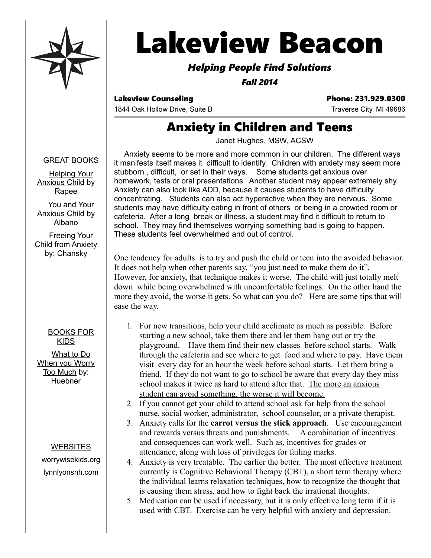

# **Lakeview Beacon**

### *Helping People Find Solutions*

*Fall 2014*

Lakeview Counseling **Phone: 231.929.0300** 

1844 Oak Hollow Drive, Suite B Traverse City, MI 49686

# Anxiety in Children and Teens

Janet Hughes, MSW, ACSW

#### GREAT BOOKS

Helping Your Anxious Child by Rapee

You and Your Anxious Child by Albano

Freeing Your Child from Anxiety by: Chansky

#### BOOKS FOR KIDS

What to Do When you Worry Too Much by: **Huebner** 

#### **WEBSITES**

worrywisekids.org lynnlyonsnh.com

Anxiety seems to be more and more common in our children. The different ways it manifests itself makes it difficult to identify. Children with anxiety may seem more stubborn , difficult, or set in their ways. Some students get anxious over homework, tests or oral presentations. Another student may appear extremely shy. Anxiety can also look like ADD, because it causes students to have difficulty concentrating. Students can also act hyperactive when they are nervous. Some students may have difficulty eating in front of others or being in a crowded room or cafeteria. After a long break or illness, a student may find it difficult to return to school. They may find themselves worrying something bad is going to happen. These students feel overwhelmed and out of control.

One tendency for adults is to try and push the child or teen into the avoided behavior. It does not help when other parents say, "you just need to make them do it". However, for anxiety, that technique makes it worse. The child will just totally melt down while being overwhelmed with uncomfortable feelings. On the other hand the more they avoid, the worse it gets. So what can you do? Here are some tips that will ease the way.

- 1. For new transitions, help your child acclimate as much as possible. Before starting a new school, take them there and let them hang out or try the playground. Have them find their new classes before school starts. Walk through the cafeteria and see where to get food and where to pay. Have them visit every day for an hour the week before school starts. Let them bring a friend. If they do not want to go to school be aware that every day they miss school makes it twice as hard to attend after that. The more an anxious student can avoid something, the worse it will become.
- 2. If you cannot get your child to attend school ask for help from the school nurse, social worker, administrator, school counselor, or a private therapist.
- 3. Anxiety calls for the **carrot versus the stick approach**. Use encouragement and rewards versus threats and punishments. A combination of incentives and consequences can work well. Such as, incentives for grades or attendance, along with loss of privileges for failing marks.
- 4. Anxiety is very treatable. The earlier the better. The most effective treatment currently is Cognitive Behavioral Therapy (CBT), a short term therapy where the individual learns relaxation techniques, how to recognize the thought that is causing them stress, and how to fight back the irrational thoughts.
- 5. Medication can be used if necessary, but it is only effective long term if it is used with CBT. Exercise can be very helpful with anxiety and depression.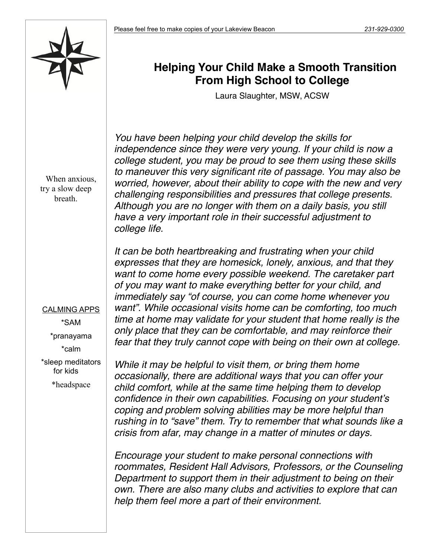

## **Helping Your Child Make a Smooth Transition From High School to College**

Laura Slaughter, MSW, ACSW

*You have been helping your child develop the skills for independence since they were very young. If your child is now a college student, you may be proud to see them using these skills to maneuver this very significant rite of passage. You may also be worried, however, about their ability to cope with the new and very challenging responsibilities and pressures that college presents. Although you are no longer with them on a daily basis, you still have a very important role in their successful adjustment to college life.*

*It can be both heartbreaking and frustrating when your child want to come home every possible weekend. The caretaker part of you may want to make everything better for your child, and immediately say "of course, you can come home whenever you want". While occasional visits home can be comforting, too much time at home may validate for your student that home really is the only place that they can be comfortable, and may reinforce their fear that they truly cannot cope with being on their own at college.*

*expresses that they are homesick, lonely, anxious, and that they* 

*While it may be helpful to visit them, or bring them home occasionally, there are additional ways that you can offer your child comfort, while at the same time helping them to develop confidence in their own capabilities. Focusing on your student's coping and problem solving abilities may be more helpful than rushing in to "save" them. Try to remember that what sounds like a*

> *Encourage your student to make personal connections with roommates, Resident Hall Advisors, Professors, or the Counseling Department to support them in their adjustment to being on their own. There are also many clubs and activities to explore that can help them feel more a part of their environment.*

*crisis from afar, may change in a matter of minutes or days.* 

When anxious, try a slow deep breath.

CALMING APPS \*SAM \*pranayama \*calm \*sleep meditators for kids

\*headspace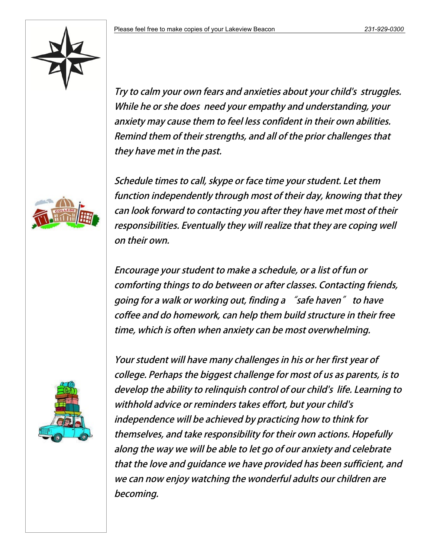

Try to calm your own fears and anxieties about your child's struggles. While he or she does need your empathy and understanding, your anxiety may cause them to feel less confident in their own abilities. Remind them of their strengths, and all of the prior challenges that they have met in the past.

Schedule times to call, skype or face time your student. Let them function independently through most of their day, knowing that they can look forward to contacting you after they have met most of their responsibilities. Eventually they will realize that they are coping well on their own.

Encourage your student to make a schedule, or a list of fun or comforting things to do between or after classes. Contacting friends, going for a walk or working out, finding a "safe haven" to have coffee and do homework, can help them build structure in their free time, which is often when anxiety can be most overwhelming.



Your student will have many challenges in his or her first year of college. Perhaps the biggest challenge for most of us as parents, is to develop the ability to relinguish control of our child's life. Learning to withhold advice or reminders takes effort, but your child's independence will be achieved by practicing how to think for themselves, and take responsibility for their own actions. Hopefully along the way we will be able to let go of our anxiety and celebrate that the love and guidance we have provided has been sufficient, and we can now enjoy watching the wonderful adults our children are becoming.